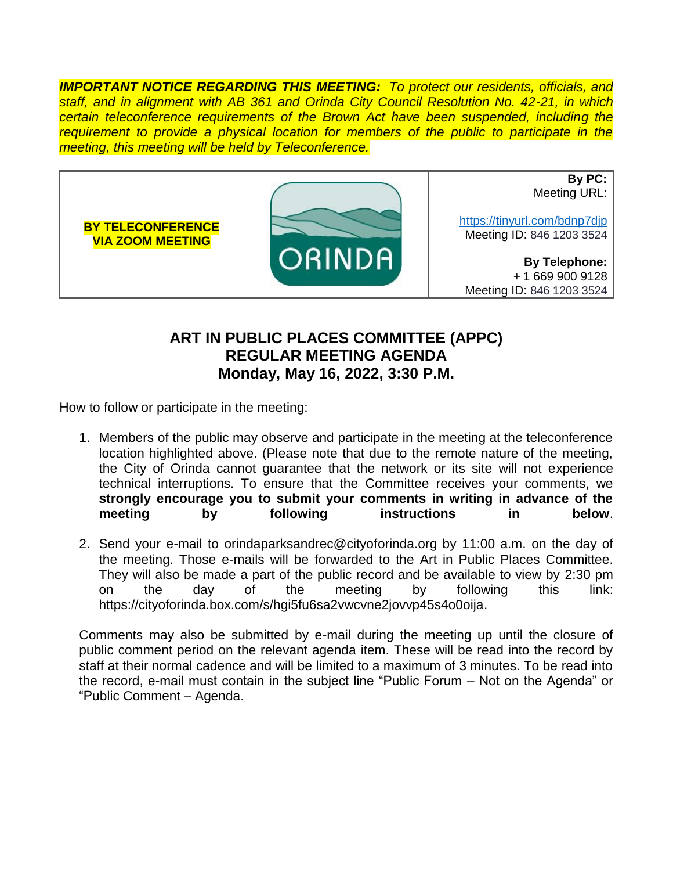*IMPORTANT NOTICE REGARDING THIS MEETING: To protect our residents, officials, and staff, and in alignment with AB 361 and Orinda City Council Resolution No. 42-21, in which certain teleconference requirements of the Brown Act have been suspended, including the requirement to provide a physical location for members of the public to participate in the meeting, this meeting will be held by Teleconference.*



## **ART IN PUBLIC PLACES COMMITTEE (APPC) REGULAR MEETING AGENDA Monday, May 16, 2022, 3:30 P.M.**

How to follow or participate in the meeting:

- 1. Members of the public may observe and participate in the meeting at the teleconference location highlighted above. (Please note that due to the remote nature of the meeting, the City of Orinda cannot guarantee that the network or its site will not experience technical interruptions. To ensure that the Committee receives your comments, we **strongly encourage you to submit your comments in writing in advance of the meeting by following instructions in below**.
- 2. Send your e-mail to orindaparksandrec@cityoforinda.org by 11:00 a.m. on the day of the meeting. Those e-mails will be forwarded to the Art in Public Places Committee. They will also be made a part of the public record and be available to view by 2:30 pm on the day of the meeting by following this link: https://cityoforinda.box.com/s/hgi5fu6sa2vwcvne2jovvp45s4o0oija.

Comments may also be submitted by e-mail during the meeting up until the closure of public comment period on the relevant agenda item. These will be read into the record by staff at their normal cadence and will be limited to a maximum of 3 minutes. To be read into the record, e-mail must contain in the subject line "Public Forum – Not on the Agenda" or "Public Comment – Agenda.